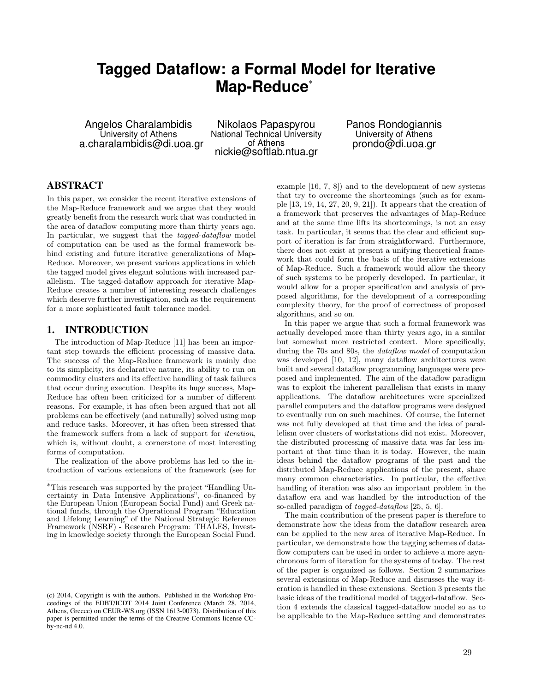# **Tagged Dataflow: a Formal Model for Iterative Map-Reduce**⇤

Angelos Charalambidis University of Athens a.charalambidis@di.uoa.gr

Nikolaos Papaspyrou National Technical University of Athens nickie@softlab.ntua.gr

Panos Rondogiannis University of Athens prondo@di.uoa.gr

# ABSTRACT

In this paper, we consider the recent iterative extensions of the Map-Reduce framework and we argue that they would greatly benefit from the research work that was conducted in the area of dataflow computing more than thirty years ago. In particular, we suggest that the *tagged-dataflow* model of computation can be used as the formal framework behind existing and future iterative generalizations of Map-Reduce. Moreover, we present various applications in which the tagged model gives elegant solutions with increased parallelism. The tagged-dataflow approach for iterative Map-Reduce creates a number of interesting research challenges which deserve further investigation, such as the requirement for a more sophisticated fault tolerance model.

## 1. INTRODUCTION

The introduction of Map-Reduce [11] has been an important step towards the efficient processing of massive data. The success of the Map-Reduce framework is mainly due to its simplicity, its declarative nature, its ability to run on commodity clusters and its effective handling of task failures that occur during execution. Despite its huge success, Map-Reduce has often been criticized for a number of different reasons. For example, it has often been argued that not all problems can be effectively (and naturally) solved using map and reduce tasks. Moreover, it has often been stressed that the framework suffers from a lack of support for *iteration*, which is, without doubt, a cornerstone of most interesting forms of computation.

The realization of the above problems has led to the introduction of various extensions of the framework (see for example [16, 7, 8]) and to the development of new systems that try to overcome the shortcomings (such as for example [13, 19, 14, 27, 20, 9, 21]). It appears that the creation of a framework that preserves the advantages of Map-Reduce and at the same time lifts its shortcomings, is not an easy task. In particular, it seems that the clear and efficient support of iteration is far from straightforward. Furthermore, there does not exist at present a unifying theoretical framework that could form the basis of the iterative extensions of Map-Reduce. Such a framework would allow the theory of such systems to be properly developed. In particular, it would allow for a proper specification and analysis of proposed algorithms, for the development of a corresponding complexity theory, for the proof of correctness of proposed algorithms, and so on.

In this paper we argue that such a formal framework was actually developed more than thirty years ago, in a similar but somewhat more restricted context. More specifically, during the 70s and 80s, the *dataflow model* of computation was developed [10, 12], many dataflow architectures were built and several dataflow programming languages were proposed and implemented. The aim of the dataflow paradigm was to exploit the inherent parallelism that exists in many applications. The dataflow architectures were specialized parallel computers and the dataflow programs were designed to eventually run on such machines. Of course, the Internet was not fully developed at that time and the idea of parallelism over clusters of workstations did not exist. Moreover, the distributed processing of massive data was far less important at that time than it is today. However, the main ideas behind the dataflow programs of the past and the distributed Map-Reduce applications of the present, share many common characteristics. In particular, the effective handling of iteration was also an important problem in the dataflow era and was handled by the introduction of the so-called paradigm of *tagged-dataflow* [25, 5, 6].

The main contribution of the present paper is therefore to demonstrate how the ideas from the dataflow research area can be applied to the new area of iterative Map-Reduce. In particular, we demonstrate how the tagging schemes of dataflow computers can be used in order to achieve a more asynchronous form of iteration for the systems of today. The rest of the paper is organized as follows. Section 2 summarizes several extensions of Map-Reduce and discusses the way iteration is handled in these extensions. Section 3 presents the basic ideas of the traditional model of tagged-dataflow. Section 4 extends the classical tagged-dataflow model so as to be applicable to the Map-Reduce setting and demonstrates

<sup>⇤</sup>This research was supported by the project "Handling Uncertainty in Data Intensive Applications", co-financed by the European Union (European Social Fund) and Greek national funds, through the Operational Program "Education and Lifelong Learning" of the National Strategic Reference Framework (NSRF) - Research Program: THALES, Investing in knowledge society through the European Social Fund.

<sup>(</sup>c) 2014, Copyright is with the authors. Published in the Workshop Proceedings of the EDBT/ICDT 2014 Joint Conference (March 28, 2014, Athens, Greece) on CEUR-WS.org (ISSN 1613-0073). Distribution of this paper is permitted under the terms of the Creative Commons license CCby-nc-nd 4.0.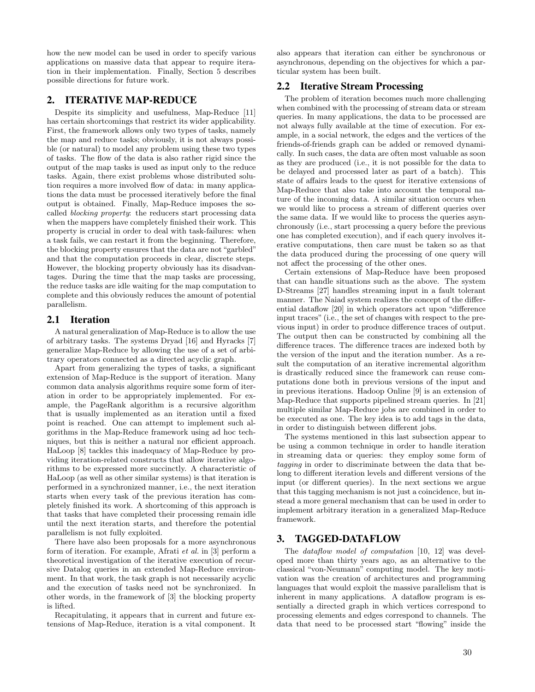how the new model can be used in order to specify various applications on massive data that appear to require iteration in their implementation. Finally, Section 5 describes possible directions for future work.

# 2. ITERATIVE MAP-REDUCE

Despite its simplicity and usefulness, Map-Reduce [11] has certain shortcomings that restrict its wider applicability. First, the framework allows only two types of tasks, namely the map and reduce tasks; obviously, it is not always possible (or natural) to model any problem using these two types of tasks. The flow of the data is also rather rigid since the output of the map tasks is used as input only to the reduce tasks. Again, there exist problems whose distributed solution requires a more involved flow of data: in many applications the data must be processed iteratively before the final output is obtained. Finally, Map-Reduce imposes the socalled *blocking property*: the reducers start processing data when the mappers have completely finished their work. This property is crucial in order to deal with task-failures: when a task fails, we can restart it from the beginning. Therefore, the blocking property ensures that the data are not "garbled" and that the computation proceeds in clear, discrete steps. However, the blocking property obviously has its disadvantages. During the time that the map tasks are processing, the reduce tasks are idle waiting for the map computation to complete and this obviously reduces the amount of potential parallelism.

#### 2.1 Iteration

A natural generalization of Map-Reduce is to allow the use of arbitrary tasks. The systems Dryad [16] and Hyracks [7] generalize Map-Reduce by allowing the use of a set of arbitrary operators connected as a directed acyclic graph.

Apart from generalizing the types of tasks, a significant extension of Map-Reduce is the support of iteration. Many common data analysis algorithms require some form of iteration in order to be appropriately implemented. For example, the PageRank algorithm is a recursive algorithm that is usually implemented as an iteration until a fixed point is reached. One can attempt to implement such algorithms in the Map-Reduce framework using ad hoc techniques, but this is neither a natural nor efficient approach. HaLoop [8] tackles this inadequacy of Map-Reduce by providing iteration-related constructs that allow iterative algorithms to be expressed more succinctly. A characteristic of HaLoop (as well as other similar systems) is that iteration is performed in a synchronized manner, i.e., the next iteration starts when every task of the previous iteration has completely finished its work. A shortcoming of this approach is that tasks that have completed their processing remain idle until the next iteration starts, and therefore the potential parallelism is not fully exploited.

There have also been proposals for a more asynchronous form of iteration. For example, Afrati *et al.* in [3] perform a theoretical investigation of the iterative execution of recursive Datalog queries in an extended Map-Reduce environment. In that work, the task graph is not necessarily acyclic and the execution of tasks need not be synchronized. In other words, in the framework of [3] the blocking property is lifted.

Recapitulating, it appears that in current and future extensions of Map-Reduce, iteration is a vital component. It also appears that iteration can either be synchronous or asynchronous, depending on the objectives for which a particular system has been built.

# 2.2 Iterative Stream Processing

The problem of iteration becomes much more challenging when combined with the processing of stream data or stream queries. In many applications, the data to be processed are not always fully available at the time of execution. For example, in a social network, the edges and the vertices of the friends-of-friends graph can be added or removed dynamically. In such cases, the data are often most valuable as soon as they are produced (i.e., it is not possible for the data to be delayed and processed later as part of a batch). This state of affairs leads to the quest for iterative extensions of Map-Reduce that also take into account the temporal nature of the incoming data. A similar situation occurs when we would like to process a stream of different queries over the same data. If we would like to process the queries asynchronously (i.e., start processing a query before the previous one has completed execution), and if each query involves iterative computations, then care must be taken so as that the data produced during the processing of one query will not affect the processing of the other ones.

Certain extensions of Map-Reduce have been proposed that can handle situations such as the above. The system D-Streams [27] handles streaming input in a fault tolerant manner. The Naiad system realizes the concept of the differential dataflow  $[20]$  in which operators act upon "difference" input traces" (i.e., the set of changes with respect to the previous input) in order to produce difference traces of output. The output then can be constructed by combining all the difference traces. The difference traces are indexed both by the version of the input and the iteration number. As a result the computation of an iterative incremental algorithm is drastically reduced since the framework can reuse computations done both in previous versions of the input and in previous iterations. Hadoop Online [9] is an extension of Map-Reduce that supports pipelined stream queries. In [21] multiple similar Map-Reduce jobs are combined in order to be executed as one. The key idea is to add tags in the data, in order to distinguish between different jobs.

The systems mentioned in this last subsection appear to be using a common technique in order to handle iteration in streaming data or queries: they employ some form of *tagging* in order to discriminate between the data that belong to different iteration levels and different versions of the input (or different queries). In the next sections we argue that this tagging mechanism is not just a coincidence, but instead a more general mechanism that can be used in order to implement arbitrary iteration in a generalized Map-Reduce framework.

### 3. TAGGED-DATAFLOW

The *dataflow model of computation* [10, 12] was developed more than thirty years ago, as an alternative to the classical "von-Neumann" computing model. The key motivation was the creation of architectures and programming languages that would exploit the massive parallelism that is inherent in many applications. A dataflow program is essentially a directed graph in which vertices correspond to processing elements and edges correspond to channels. The data that need to be processed start "flowing" inside the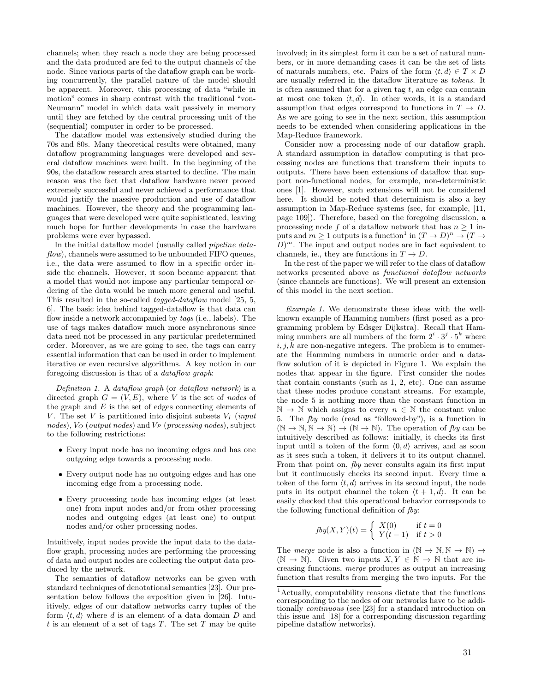channels; when they reach a node they are being processed and the data produced are fed to the output channels of the node. Since various parts of the dataflow graph can be working concurrently, the parallel nature of the model should be apparent. Moreover, this processing of data "while in motion" comes in sharp contrast with the traditional "von-Neumann" model in which data wait passively in memory until they are fetched by the central processing unit of the (sequential) computer in order to be processed.

The dataflow model was extensively studied during the 70s and 80s. Many theoretical results were obtained, many dataflow programming languages were developed and several dataflow machines were built. In the beginning of the 90s, the dataflow research area started to decline. The main reason was the fact that dataflow hardware never proved extremely successful and never achieved a performance that would justify the massive production and use of dataflow machines. However, the theory and the programming languages that were developed were quite sophisticated, leaving much hope for further developments in case the hardware problems were ever bypassed.

In the initial dataflow model (usually called *pipeline dataflow*), channels were assumed to be unbounded FIFO queues, i.e., the data were assumed to flow in a specific order inside the channels. However, it soon became apparent that a model that would not impose any particular temporal ordering of the data would be much more general and useful. This resulted in the so-called *tagged-dataflow* model [25, 5, 6]. The basic idea behind tagged-dataflow is that data can flow inside a network accompanied by *tags* (i.e., labels). The use of tags makes dataflow much more asynchronous since data need not be processed in any particular predetermined order. Moreover, as we are going to see, the tags can carry essential information that can be used in order to implement iterative or even recursive algorithms. A key notion in our foregoing discussion is that of a *dataflow graph*:

*Definition 1.* A *dataflow graph* (or *dataflow network*) is a directed graph  $G = (V, E)$ , where *V* is the set of *nodes* of the graph and *E* is the set of edges connecting elements of *V*. The set *V* is partitioned into disjoint subsets  $V_I$  (*input nodes*), *V<sup>O</sup>* (*output nodes*) and *V<sup>P</sup>* (*processing nodes*), subject to the following restrictions:

- *•* Every input node has no incoming edges and has one outgoing edge towards a processing node.
- *•* Every output node has no outgoing edges and has one incoming edge from a processing node.
- *•* Every processing node has incoming edges (at least one) from input nodes and/or from other processing nodes and outgoing edges (at least one) to output nodes and/or other processing nodes.

Intuitively, input nodes provide the input data to the dataflow graph, processing nodes are performing the processing of data and output nodes are collecting the output data produced by the network.

The semantics of dataflow networks can be given with standard techniques of denotational semantics [23]. Our presentation below follows the exposition given in [26]. Intuitively, edges of our dataflow networks carry tuples of the form  $\langle t, d \rangle$  where *d* is an element of a data domain *D* and *t* is an element of a set of tags *T*. The set *T* may be quite

involved; in its simplest form it can be a set of natural numbers, or in more demanding cases it can be the set of lists of naturals numbers, etc. Pairs of the form  $\langle t, d \rangle \in T \times D$ are usually referred in the dataflow literature as *tokens*. It is often assumed that for a given tag *t*, an edge can contain at most one token  $\langle t, d \rangle$ . In other words, it is a standard assumption that edges correspond to functions in  $T \to D$ . As we are going to see in the next section, this assumption needs to be extended when considering applications in the Map-Reduce framework.

Consider now a processing node of our dataflow graph. A standard assumption in dataflow computing is that processing nodes are functions that transform their inputs to outputs. There have been extensions of dataflow that support non-functional nodes, for example, non-deterministic ones [1]. However, such extensions will not be considered here. It should be noted that determinism is also a key assumption in Map-Reduce systems (see, for example, [11, page 109]). Therefore, based on the foregoing discussion, a processing node f of a dataflow network that has  $n \geq 1$  inputs and  $m \geq 1$  outputs is a function<sup>1</sup> in  $(T \to D)^n \to (T \to D)$  $(D)^m$ . The input and output nodes are in fact equivalent to channels, ie., they are functions in  $T \to D$ .

In the rest of the paper we will refer to the class of dataflow networks presented above as *functional dataflow networks* (since channels are functions). We will present an extension of this model in the next section.

*Example 1.* We demonstrate these ideas with the wellknown example of Hamming numbers (first posed as a programming problem by Edsger Dijkstra). Recall that Hamming numbers are all numbers of the form  $2^i \cdot 3^j \cdot 5^k$  where  $i, j, k$  are non-negative integers. The problem is to enumerate the Hamming numbers in numeric order and a dataflow solution of it is depicted in Figure 1. We explain the nodes that appear in the figure. First consider the nodes that contain constants (such as 1, 2, etc). One can assume that these nodes produce constant streams. For example, the node 5 is nothing more than the constant function in  $\mathbb{N} \to \mathbb{N}$  which assigns to every  $n \in \mathbb{N}$  the constant value 5. The *fby* node (read as "followed-by"), is a function in  $(N \to N, N \to N) \to (N \to N)$ . The operation of *fby* can be intuitively described as follows: initially, it checks its first input until a token of the form  $\langle 0, d \rangle$  arrives, and as soon as it sees such a token, it delivers it to its output channel. From that point on, *fby* never consults again its first input but it continuously checks its second input. Every time a token of the form  $\langle t, d \rangle$  arrives in its second input, the node puts in its output channel the token  $\langle t + 1, d \rangle$ . It can be easily checked that this operational behavior corresponds to the following functional definition of *fby*:

$$
fby(X,Y)(t) = \begin{cases} X(0) & \text{if } t = 0\\ Y(t-1) & \text{if } t > 0 \end{cases}
$$

The *merge* node is also a function in  $(N \to N, N \to N)$   $\to$  $(N \to N)$ . Given two inputs  $X, Y \in \mathbb{N} \to \mathbb{N}$  that are increasing functions, *merge* produces as output an increasing function that results from merging the two inputs. For the

<sup>1</sup>Actually, computability reasons dictate that the functions corresponding to the nodes of our networks have to be additionally *continuous* (see [23] for a standard introduction on this issue and [18] for a corresponding discussion regarding pipeline dataflow networks).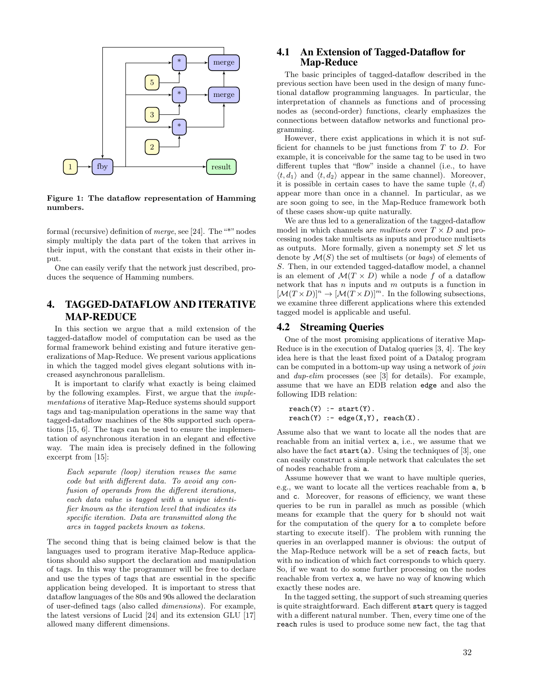

Figure 1: The dataflow representation of Hamming numbers.

formal (recursive) definition of *merge*, see [24]. The "\*" nodes simply multiply the data part of the token that arrives in their input, with the constant that exists in their other input.

One can easily verify that the network just described, produces the sequence of Hamming numbers.

# 4. TAGGED-DATAFLOW AND ITERATIVE MAP-REDUCE

In this section we argue that a mild extension of the tagged-dataflow model of computation can be used as the formal framework behind existing and future iterative generalizations of Map-Reduce. We present various applications in which the tagged model gives elegant solutions with increased asynchronous parallelism.

It is important to clarify what exactly is being claimed by the following examples. First, we argue that the *implementations* of iterative Map-Reduce systems should support tags and tag-manipulation operations in the same way that tagged-dataflow machines of the 80s supported such operations [15, 6]. The tags can be used to ensure the implementation of asynchronous iteration in an elegant and effective way. The main idea is precisely defined in the following excerpt from [15]:

*Each separate (loop) iteration reuses the same code but with different data. To avoid any confusion of operands from the different iterations, each data value is tagged with a unique identifier known as the iteration level that indicates its specific iteration. Data are transmitted along the arcs in tagged packets known as tokens.*

The second thing that is being claimed below is that the languages used to program iterative Map-Reduce applications should also support the declaration and manipulation of tags. In this way the programmer will be free to declare and use the types of tags that are essential in the specific application being developed. It is important to stress that dataflow languages of the 80s and 90s allowed the declaration of user-defined tags (also called *dimensions*). For example, the latest versions of Lucid [24] and its extension GLU [17] allowed many different dimensions.

## 4.1 An Extension of Tagged-Dataflow for Map-Reduce

The basic principles of tagged-dataflow described in the previous section have been used in the design of many functional dataflow programming languages. In particular, the interpretation of channels as functions and of processing nodes as (second-order) functions, clearly emphasizes the connections between dataflow networks and functional programming.

However, there exist applications in which it is not sufficient for channels to be just functions from *T* to *D*. For example, it is conceivable for the same tag to be used in two different tuples that "flow" inside a channel (i.e., to have  $\langle t, d_1 \rangle$  and  $\langle t, d_2 \rangle$  appear in the same channel). Moreover, it is possible in certain cases to have the same tuple  $\langle t, d \rangle$ appear more than once in a channel. In particular, as we are soon going to see, in the Map-Reduce framework both of these cases show-up quite naturally.

We are thus led to a generalization of the tagged-dataflow model in which channels are *multisets* over  $T \times D$  and processing nodes take multisets as inputs and produce multisets as outputs. More formally, given a nonempty set *S* let us denote by *M*(*S*) the set of multisets (or *bags*) of elements of *S*. Then, in our extended tagged-dataflow model, a channel is an element of  $\mathcal{M}(T \times D)$  while a node f of a dataflow network that has *n* inputs and *m* outputs is a function in  $[{\mathcal M}(T \times D)]^n \to [{\mathcal M}(T \times D)]^m$ . In the following subsections, we examine three different applications where this extended tagged model is applicable and useful.

## 4.2 Streaming Queries

One of the most promising applications of iterative Map-Reduce is in the execution of Datalog queries [3, 4]. The key idea here is that the least fixed point of a Datalog program can be computed in a bottom-up way using a network of *join* and *dup-elim* processes (see [3] for details). For example, assume that we have an EDB relation edge and also the following IDB relation:

```
reach(Y) :- start(Y).reach(Y) := edge(X,Y), reach(X).
```
Assume also that we want to locate all the nodes that are reachable from an initial vertex a, i.e., we assume that we also have the fact  $start(a)$ . Using the techniques of [3], one can easily construct a simple network that calculates the set of nodes reachable from a.

Assume however that we want to have multiple queries, e.g., we want to locate all the vertices reachable from a, b and c. Moreover, for reasons of efficiency, we want these queries to be run in parallel as much as possible (which means for example that the query for b should not wait for the computation of the query for a to complete before starting to execute itself). The problem with running the queries in an overlapped manner is obvious: the output of the Map-Reduce network will be a set of reach facts, but with no indication of which fact corresponds to which query. So, if we want to do some further processing on the nodes reachable from vertex a, we have no way of knowing which exactly these nodes are.

In the tagged setting, the support of such streaming queries is quite straightforward. Each different start query is tagged with a different natural number. Then, every time one of the reach rules is used to produce some new fact, the tag that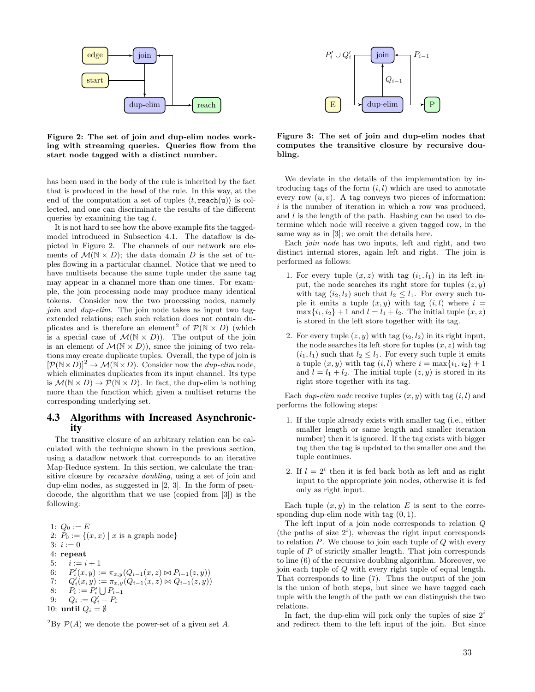

Figure 2: The set of join and dup-elim nodes working with streaming queries. Queries flow from the start node tagged with a distinct number.

has been used in the body of the rule is inherited by the fact that is produced in the head of the rule. In this way, at the end of the computation a set of tuples  $\langle t, \text{reach}(u) \rangle$  is collected, and one can discriminate the results of the different queries by examining the tag *t*.

It is not hard to see how the above example fits the taggedmodel introduced in Subsection 4.1. The dataflow is depicted in Figure 2. The channels of our network are elements of  $\mathcal{M}(\mathbb{N} \times D)$ ; the data domain *D* is the set of tuples flowing in a particular channel. Notice that we need to have multisets because the same tuple under the same tag may appear in a channel more than one times. For example, the join processing node may produce many identical tokens. Consider now the two processing nodes, namely *join* and *dup-elim*. The join node takes as input two tagextended relations; each such relation does not contain duplicates and is therefore an element<sup>2</sup> of  $\mathcal{P}(\mathbb{N} \times D)$  (which is a special case of  $\mathcal{M}(\mathbb{N} \times D)$ . The output of the join is an element of  $\mathcal{M}(\mathbb{N} \times D)$ , since the joining of two relations may create duplicate tuples. Overall, the type of join is  $[\mathcal{P}(\mathbb{N} \times D)]^2 \to \mathcal{M}(\mathbb{N} \times D)$ . Consider now the *dup-elim* node, which eliminates duplicates from its input channel. Its type is  $\mathcal{M}(\mathbb{N} \times D) \to \mathcal{P}(\mathbb{N} \times D)$ . In fact, the dup-elim is nothing more than the function which given a multiset returns the corresponding underlying set.

# 4.3 Algorithms with Increased Asynchronicity

The transitive closure of an arbitrary relation can be calculated with the technique shown in the previous section, using a dataflow network that corresponds to an iterative Map-Reduce system. In this section, we calculate the transitive closure by *recursive doubling*, using a set of join and dup-elim nodes, as suggested in [2, 3]. In the form of pseudocode, the algorithm that we use (copied from [3]) is the following:

1:  $Q_0 := E$ 2:  $P_0 := \{(x, x) | x \text{ is a graph node}\}$  $3: i := 0$ 4: repeat 5:  $i := i + 1$ 6:  $P'_i(x,y) := \pi_{x,y}(Q_{i-1}(x,z) \bowtie P_{i-1}(z,y))$ 7:  $Q'_{i}(x, y) := \pi_{x, y}(Q_{i-1}(x, z) \bowtie Q_{i-1}(z, y))$ 8:  $P_i := P'_i \bigcup P_{i-1}$ 9:  $Q_i := Q'_i - P_i$ 10: until  $Q_i = \emptyset$ 



Figure 3: The set of join and dup-elim nodes that computes the transitive closure by recursive doubling.

We deviate in the details of the implementation by introducing tags of the form (*i, l*) which are used to annotate every row  $(u, v)$ . A tag conveys two pieces of information: *i* is the number of iteration in which a row was produced, and *l* is the length of the path. Hashing can be used to determine which node will receive a given tagged row, in the same way as in [3]; we omit the details here.

Each *join node* has two inputs, left and right, and two distinct internal stores, again left and right. The join is performed as follows:

- 1. For every tuple  $(x, z)$  with tag  $(i_1, l_1)$  in its left input, the node searches its right store for tuples  $(z, y)$ with tag  $(i_2, l_2)$  such that  $l_2 \leq l_1$ . For every such tuple it emits a tuple  $(x, y)$  with tag  $(i, l)$  where  $i =$  $max\{i_1, i_2\} + 1$  and  $l = l_1 + l_2$ . The initial tuple  $(x, z)$ is stored in the left store together with its tag.
- 2. For every tuple  $(z, y)$  with tag  $(i_2, l_2)$  in its right input, the node searches its left store for tuples  $(x, z)$  with tag  $(i_1, l_1)$  such that  $l_2 \leq l_1$ . For every such tuple it emits a tuple  $(x, y)$  with tag  $(i, l)$  where  $i = \max\{i_1, i_2\} + 1$ and  $l = l_1 + l_2$ . The initial tuple  $(z, y)$  is stored in its right store together with its tag.

Each *dup-elim node* receive tuples (*x, y*) with tag (*i, l*) and performs the following steps:

- 1. If the tuple already exists with smaller tag (i.e., either smaller length or same length and smaller iteration number) then it is ignored. If the tag exists with bigger tag then the tag is updated to the smaller one and the tuple continues.
- 2. If  $l = 2^i$  then it is fed back both as left and as right input to the appropriate join nodes, otherwise it is fed only as right input.

Each tuple  $(x, y)$  in the relation  $E$  is sent to the corresponding dup-elim node with tag (0*,* 1).

The left input of a join node corresponds to relation *Q* (the paths of size  $2^i$ ), whereas the right input corresponds to relation *P*. We choose to join each tuple of *Q* with every tuple of *P* of strictly smaller length. That join corresponds to line (6) of the recursive doubling algorithm. Moreover, we join each tuple of *Q* with every right tuple of equal length. That corresponds to line (7). Thus the output of the join is the union of both steps, but since we have tagged each tuple with the length of the path we can distinguish the two relations.

In fact, the dup-elim will pick only the tuples of size 2*<sup>i</sup>* and redirect them to the left input of the join. But since

<sup>&</sup>lt;sup>2</sup>By  $P(A)$  we denote the power-set of a given set *A*.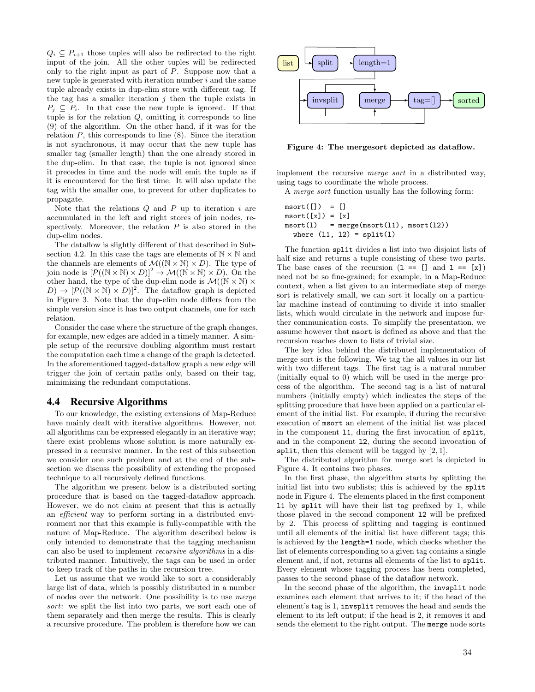$Q_i \nightharpoonup P_{i+1}$  those tuples will also be redirected to the right input of the join. All the other tuples will be redirected only to the right input as part of *P*. Suppose now that a new tuple is generated with iteration number *i* and the same tuple already exists in dup-elim store with different tag. If the tag has a smaller iteration *j* then the tuple exists in  $P_i \subseteq P_i$ . In that case the new tuple is ignored. If that tuple is for the relation *Q*, omitting it corresponds to line (9) of the algorithm. On the other hand, if it was for the relation  $P$ , this corresponds to line  $(8)$ . Since the iteration is not synchronous, it may occur that the new tuple has smaller tag (smaller length) than the one already stored in the dup-elim. In that case, the tuple is not ignored since it precedes in time and the node will emit the tuple as if it is encountered for the first time. It will also update the tag with the smaller one, to prevent for other duplicates to propagate.

Note that the relations *Q* and *P* up to iteration *i* are accumulated in the left and right stores of join nodes, respectively. Moreover, the relation *P* is also stored in the dup-elim nodes.

The dataflow is slightly different of that described in Subsection 4.2. In this case the tags are elements of  $\mathbb{N} \times \mathbb{N}$  and the channels are elements of  $\mathcal{M}((\mathbb{N} \times \mathbb{N}) \times D)$ . The type of join node is  $[\mathcal{P}((\mathbb{N} \times \mathbb{N}) \times D)]^2 \to \mathcal{M}((\mathbb{N} \times \mathbb{N}) \times D)$ . On the other hand, the type of the dup-elim node is  $\mathcal{M}(\mathbb{N} \times \mathbb{N}) \times$  $(D) \to [\mathcal{P}((\mathbb{N} \times \mathbb{N}) \times D)]^2$ . The dataflow graph is depicted in Figure 3. Note that the dup-elim node differs from the simple version since it has two output channels, one for each relation.

Consider the case where the structure of the graph changes, for example, new edges are added in a timely manner. A simple setup of the recursive doubling algorithm must restart the computation each time a change of the graph is detected. In the aforementioned tagged-dataflow graph a new edge will trigger the join of certain paths only, based on their tag, minimizing the redundant computations.

#### 4.4 Recursive Algorithms

To our knowledge, the existing extensions of Map-Reduce have mainly dealt with iterative algorithms. However, not all algorithms can be expressed elegantly in an iterative way; there exist problems whose solution is more naturally expressed in a recursive manner. In the rest of this subsection we consider one such problem and at the end of the subsection we discuss the possibility of extending the proposed technique to all recursively defined functions.

The algorithm we present below is a distributed sorting procedure that is based on the tagged-dataflow approach. However, we do not claim at present that this is actually an *ecient* way to perform sorting in a distributed environment nor that this example is fully-compatible with the nature of Map-Reduce. The algorithm described below is only intended to demonstrate that the tagging mechanism can also be used to implement *recursive algorithms* in a distributed manner. Intuitively, the tags can be used in order to keep track of the paths in the recursion tree.

Let us assume that we would like to sort a considerably large list of data, which is possibly distributed in a number of nodes over the network. One possibility is to use *merge sort*: we split the list into two parts, we sort each one of them separately and then merge the results. This is clearly a recursive procedure. The problem is therefore how we can



Figure 4: The mergesort depicted as dataflow.

implement the recursive *merge sort* in a distributed way, using tags to coordinate the whole process.

A *merge sort* function usually has the following form:

```
msort([]) = []msort([x]) = [x]msort(1) = merge(msort(11), msort(12))where (11, 12) =split(1)
```
The function split divides a list into two disjoint lists of half size and returns a tuple consisting of these two parts. The base cases of the recursion  $(1 == [$ ] and  $1 == [x])$ need not be so fine-grained; for example, in a Map-Reduce context, when a list given to an intermediate step of merge sort is relatively small, we can sort it locally on a particular machine instead of continuing to divide it into smaller lists, which would circulate in the network and impose further communication costs. To simplify the presentation, we assume however that msort is defined as above and that the recursion reaches down to lists of trivial size.

The key idea behind the distributed implementation of merge sort is the following. We tag the all values in our list with two different tags. The first tag is a natural number (initially equal to 0) which will be used in the merge process of the algorithm. The second tag is a list of natural numbers (initially empty) which indicates the steps of the splitting procedure that have been applied on a particular element of the initial list. For example, if during the recursive execution of msort an element of the initial list was placed in the component l1, during the first invocation of split, and in the component l2, during the second invocation of split, then this element will be tagged by [2*,* 1].

The distributed algorithm for merge sort is depicted in Figure 4. It contains two phases.

In the first phase, the algorithm starts by splitting the initial list into two sublists; this is achieved by the split node in Figure 4. The elements placed in the first component l1 by split will have their list tag prefixed by 1, while those plaved in the second component l2 will be prefixed by 2. This process of splitting and tagging is continued until all elements of the initial list have different tags; this is achieved by the length=1 node, which checks whether the list of elements corresponding to a given tag contains a single element and, if not, returns all elements of the list to split. Every element whose tagging process has been completed, passes to the second phase of the dataflow network.

In the second phase of the algorithm, the invsplit node examines each element that arrives to it; if the head of the element's tag is 1, invsplit removes the head and sends the element to its left output; if the head is 2, it removes it and sends the element to the right output. The merge node sorts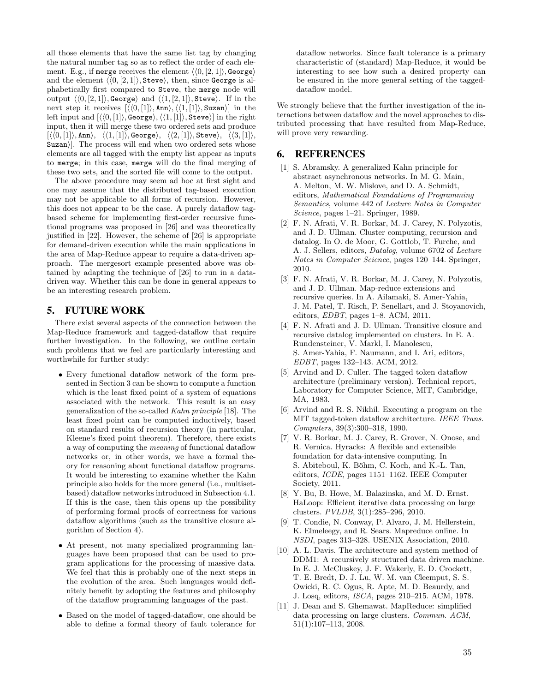all those elements that have the same list tag by changing the natural number tag so as to reflect the order of each element. E.g., if merge receives the element  $\langle \langle 0, [2, 1] \rangle$ , George) and the element  $\langle \langle 0, [2, 1] \rangle$ , Steve $\rangle$ , then, since George is alphabetically first compared to Steve, the merge node will output  $\langle (0, [2, 1] \rangle,$  George) and  $\langle (1, [2, 1] \rangle,$  Steve). If in the next step it receives  $\langle\langle 0, 1| \rangle$ , Ann $\rangle$ ,  $\langle\langle 1, 1| \rangle$ , Suzan $\rangle$  in the left input and  $\left[ \langle \langle 0, 1 \rangle \rangle, \text{George} \rangle, \langle \langle 1, 1 \rangle \rangle, \text{Steve} \rangle \right]$  in the right input, then it will merge these two ordered sets and produce  $\{\langle 0, 1 \rangle, \text{Ann}\}, \langle \langle 1, 1 \rangle, \text{George}\}, \langle \langle 2, 1 \rangle, \text{Steve}\rangle, \langle \langle 3, 1 \rangle,$ Suzan). The process will end when two ordered sets whose elements are all tagged with the empty list appear as inputs to merge; in this case, merge will do the final merging of these two sets, and the sorted file will come to the output.

The above procedure may seem ad hoc at first sight and one may assume that the distributed tag-based execution may not be applicable to all forms of recursion. However, this does not appear to be the case. A purely dataflow tagbased scheme for implementing first-order recursive functional programs was proposed in [26] and was theoretically justified in [22]. However, the scheme of [26] is appropriate for demand-driven execution while the main applications in the area of Map-Reduce appear to require a data-driven approach. The mergesort example presented above was obtained by adapting the technique of [26] to run in a datadriven way. Whether this can be done in general appears to be an interesting research problem.

# 5. FUTURE WORK

There exist several aspects of the connection between the Map-Reduce framework and tagged-dataflow that require further investigation. In the following, we outline certain such problems that we feel are particularly interesting and worthwhile for further study:

- *•* Every functional dataflow network of the form presented in Section 3 can be shown to compute a function which is the least fixed point of a system of equations associated with the network. This result is an easy generalization of the so-called *Kahn principle* [18]. The least fixed point can be computed inductively, based on standard results of recursion theory (in particular, Kleene's fixed point theorem). Therefore, there exists a way of computing the *meaning* of functional dataflow networks or, in other words, we have a formal theory for reasoning about functional dataflow programs. It would be interesting to examine whether the Kahn principle also holds for the more general (i.e., multisetbased) dataflow networks introduced in Subsection 4.1. If this is the case, then this opens up the possibility of performing formal proofs of correctness for various dataflow algorithms (such as the transitive closure algorithm of Section 4).
- *•* At present, not many specialized programming languages have been proposed that can be used to program applications for the processing of massive data. We feel that this is probably one of the next steps in the evolution of the area. Such languages would definitely benefit by adopting the features and philosophy of the dataflow programming languages of the past.
- *•* Based on the model of tagged-dataflow, one should be able to define a formal theory of fault tolerance for

dataflow networks. Since fault tolerance is a primary characteristic of (standard) Map-Reduce, it would be interesting to see how such a desired property can be ensured in the more general setting of the taggeddataflow model.

We strongly believe that the further investigation of the interactions between dataflow and the novel approaches to distributed processing that have resulted from Map-Reduce, will prove very rewarding.

# 6. REFERENCES

- [1] S. Abramsky. A generalized Kahn principle for abstract asynchronous networks. In M. G. Main, A. Melton, M. W. Mislove, and D. A. Schmidt, editors, *Mathematical Foundations of Programming Semantics*, volume 442 of *Lecture Notes in Computer Science*, pages 1–21. Springer, 1989.
- [2] F. N. Afrati, V. R. Borkar, M. J. Carey, N. Polyzotis, and J. D. Ullman. Cluster computing, recursion and datalog. In O. de Moor, G. Gottlob, T. Furche, and A. J. Sellers, editors, *Datalog*, volume 6702 of *Lecture Notes in Computer Science*, pages 120–144. Springer, 2010.
- [3] F. N. Afrati, V. R. Borkar, M. J. Carey, N. Polyzotis, and J. D. Ullman. Map-reduce extensions and recursive queries. In A. Ailamaki, S. Amer-Yahia, J. M. Patel, T. Risch, P. Senellart, and J. Stoyanovich, editors, *EDBT*, pages 1–8. ACM, 2011.
- [4] F. N. Afrati and J. D. Ullman. Transitive closure and recursive datalog implemented on clusters. In E. A. Rundensteiner, V. Markl, I. Manolescu, S. Amer-Yahia, F. Naumann, and I. Ari, editors, *EDBT*, pages 132–143. ACM, 2012.
- [5] Arvind and D. Culler. The tagged token dataflow architecture (preliminary version). Technical report, Laboratory for Computer Science, MIT, Cambridge, MA, 1983.
- [6] Arvind and R. S. Nikhil. Executing a program on the MIT tagged-token dataflow architecture. *IEEE Trans. Computers*, 39(3):300–318, 1990.
- [7] V. R. Borkar, M. J. Carey, R. Grover, N. Onose, and R. Vernica. Hyracks: A flexible and extensible foundation for data-intensive computing. In S. Abiteboul, K. Böhm, C. Koch, and K.-L. Tan, editors, *ICDE*, pages 1151–1162. IEEE Computer Society, 2011.
- [8] Y. Bu, B. Howe, M. Balazinska, and M. D. Ernst. HaLoop: Efficient iterative data processing on large clusters. *PVLDB*, 3(1):285–296, 2010.
- [9] T. Condie, N. Conway, P. Alvaro, J. M. Hellerstein, K. Elmeleegy, and R. Sears. Mapreduce online. In *NSDI*, pages 313–328. USENIX Association, 2010.
- [10] A. L. Davis. The architecture and system method of DDM1: A recursively structured data driven machine. In E. J. McCluskey, J. F. Wakerly, E. D. Crockett, T. E. Bredt, D. J. Lu, W. M. van Cleemput, S. S. Owicki, R. C. Ogus, R. Apte, M. D. Beaurdy, and J. Losq, editors, *ISCA*, pages 210–215. ACM, 1978.
- [11] J. Dean and S. Ghemawat. MapReduce: simplified data processing on large clusters. *Commun. ACM*, 51(1):107–113, 2008.